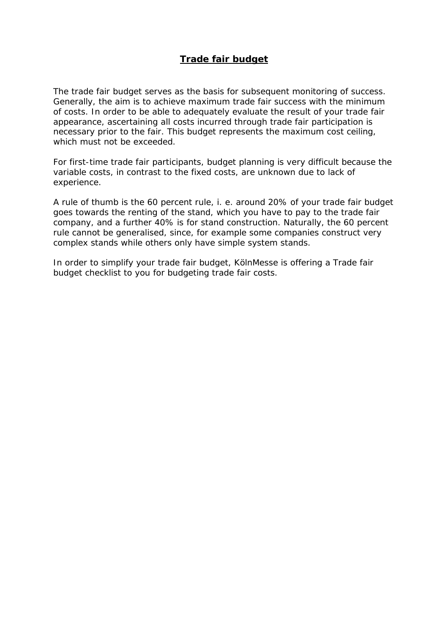## **Trade fair budget**

The trade fair budget serves as the basis for subsequent monitoring of success. Generally, the aim is to achieve maximum trade fair success with the minimum of costs. In order to be able to adequately evaluate the result of your trade fair appearance, ascertaining all costs incurred through trade fair participation is necessary prior to the fair. This budget represents the maximum cost ceiling, which must not be exceeded.

For first-time trade fair participants, budget planning is very difficult because the variable costs, in contrast to the fixed costs, are unknown due to lack of experience.

A rule of thumb is the 60 percent rule, i. e. around 20% of your trade fair budget goes towards the renting of the stand, which you have to pay to the trade fair company, and a further 40% is for stand construction. Naturally, the 60 percent rule cannot be generalised, since, for example some companies construct very complex stands while others only have simple system stands.

In order to simplify your trade fair budget, KölnMesse is offering a Trade fair budget checklist to you for budgeting trade fair costs.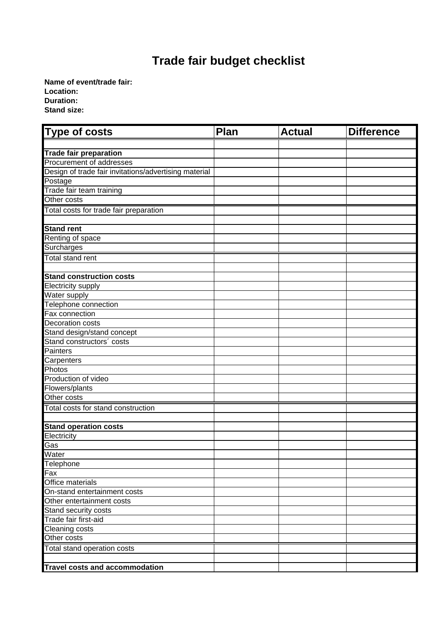## **Trade fair budget checklist**

**Name of event/trade fair: Location: Duration: Stand size:**

| Type of costs                                         | Plan | <b>Actual</b> | <b>Difference</b> |
|-------------------------------------------------------|------|---------------|-------------------|
|                                                       |      |               |                   |
| <b>Trade fair preparation</b>                         |      |               |                   |
| Procurement of addresses                              |      |               |                   |
| Design of trade fair invitations/advertising material |      |               |                   |
| Postage                                               |      |               |                   |
| Trade fair team training                              |      |               |                   |
| Other costs                                           |      |               |                   |
| Total costs for trade fair preparation                |      |               |                   |
|                                                       |      |               |                   |
| <b>Stand rent</b>                                     |      |               |                   |
| Renting of space                                      |      |               |                   |
| Surcharges                                            |      |               |                   |
| <b>Total stand rent</b>                               |      |               |                   |
|                                                       |      |               |                   |
| <b>Stand construction costs</b>                       |      |               |                   |
| Electricity supply                                    |      |               |                   |
| Water supply                                          |      |               |                   |
| Telephone connection<br>Fax connection                |      |               |                   |
| Decoration costs                                      |      |               |                   |
| Stand design/stand concept                            |      |               |                   |
| Stand constructors' costs                             |      |               |                   |
| Painters                                              |      |               |                   |
| Carpenters                                            |      |               |                   |
| Photos                                                |      |               |                   |
| Production of video                                   |      |               |                   |
| Flowers/plants                                        |      |               |                   |
| Other costs                                           |      |               |                   |
| Total costs for stand construction                    |      |               |                   |
|                                                       |      |               |                   |
| <b>Stand operation costs</b>                          |      |               |                   |
| Electricity                                           |      |               |                   |
| Gas                                                   |      |               |                   |
| Water                                                 |      |               |                   |
| Telephone                                             |      |               |                   |
| Fax                                                   |      |               |                   |
| Office materials                                      |      |               |                   |
| On-stand entertainment costs                          |      |               |                   |
| Other entertainment costs                             |      |               |                   |
| Stand security costs                                  |      |               |                   |
| Trade fair first-aid                                  |      |               |                   |
| Cleaning costs                                        |      |               |                   |
| Other costs                                           |      |               |                   |
| Total stand operation costs                           |      |               |                   |
|                                                       |      |               |                   |
| <b>Travel costs and accommodation</b>                 |      |               |                   |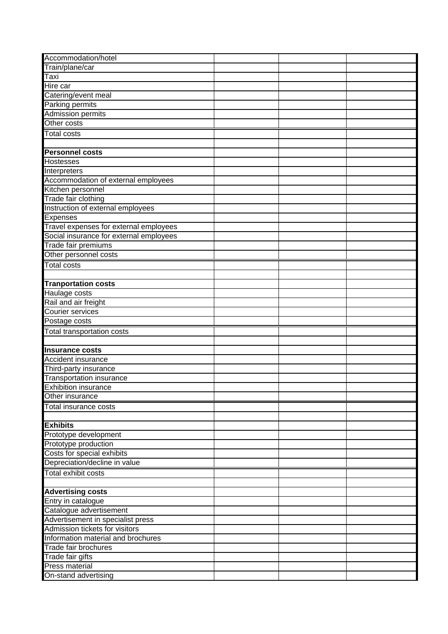| Accommodation/hotel                                |  |  |
|----------------------------------------------------|--|--|
| Train/plane/car                                    |  |  |
| Taxi                                               |  |  |
| Hire car                                           |  |  |
| Catering/event meal                                |  |  |
| Parking permits                                    |  |  |
| <b>Admission permits</b>                           |  |  |
| Other costs                                        |  |  |
| <b>Total costs</b>                                 |  |  |
|                                                    |  |  |
| <b>Personnel costs</b>                             |  |  |
| <b>Hostesses</b>                                   |  |  |
| Interpreters                                       |  |  |
| Accommodation of external employees                |  |  |
| Kitchen personnel                                  |  |  |
| Trade fair clothing                                |  |  |
| Instruction of external employees                  |  |  |
| Expenses                                           |  |  |
| Travel expenses for external employees             |  |  |
| Social insurance for external employees            |  |  |
| Trade fair premiums                                |  |  |
| Other personnel costs                              |  |  |
| <b>Total costs</b>                                 |  |  |
|                                                    |  |  |
| <b>Tranportation costs</b>                         |  |  |
| Haulage costs                                      |  |  |
| Rail and air freight                               |  |  |
| Courier services                                   |  |  |
| Postage costs                                      |  |  |
| Total transportation costs                         |  |  |
|                                                    |  |  |
| <b>Insurance costs</b>                             |  |  |
| Accident insurance                                 |  |  |
| Third-party insurance                              |  |  |
| <b>Transportation insurance</b>                    |  |  |
| <b>Exhibition insurance</b>                        |  |  |
| Other insurance                                    |  |  |
|                                                    |  |  |
| Total insurance costs                              |  |  |
|                                                    |  |  |
| <b>Exhibits</b>                                    |  |  |
| Prototype development                              |  |  |
| Prototype production<br>Costs for special exhibits |  |  |
|                                                    |  |  |
|                                                    |  |  |
| Depreciation/decline in value                      |  |  |
| <b>Total exhibit costs</b>                         |  |  |
|                                                    |  |  |
| <b>Advertising costs</b>                           |  |  |
| Entry in catalogue                                 |  |  |
| Catalogue advertisement                            |  |  |
| Advertisement in specialist press                  |  |  |
| Admission tickets for visitors                     |  |  |
| Information material and brochures                 |  |  |
| Trade fair brochures                               |  |  |
| Trade fair gifts                                   |  |  |
| Press material<br>On-stand advertising             |  |  |